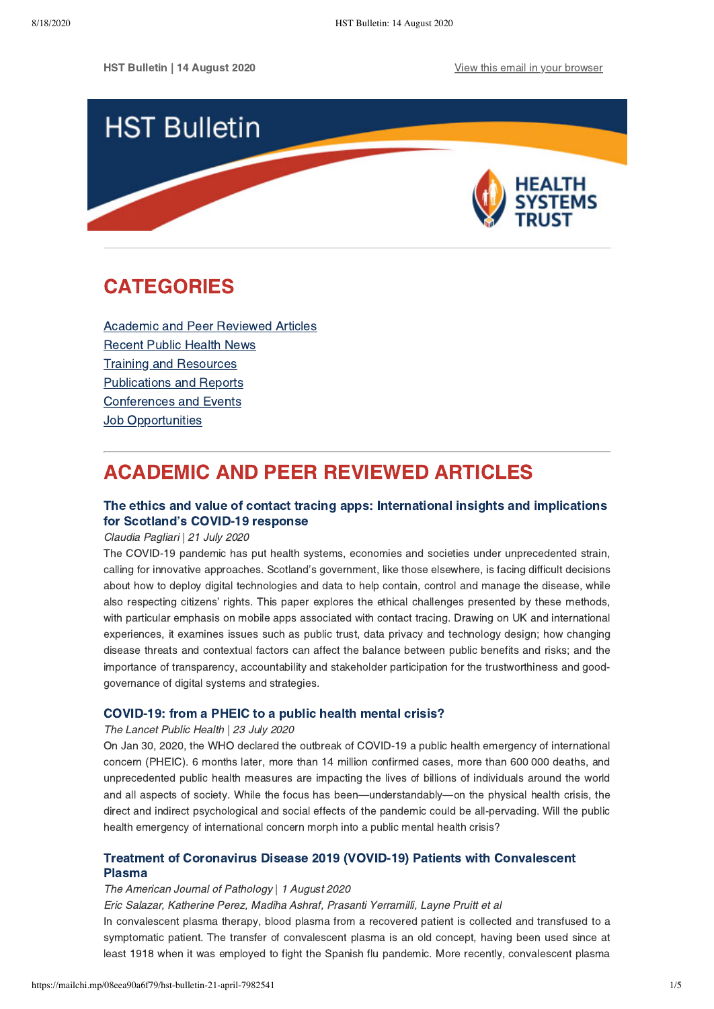HST Bulletin | 14 August 2020 [View this email in your browser](https://mailchi.mp/08eea90a6f79/hst-bulletin-21-april-7982541?e=[UNIQID])



## **CATEGORIES** CATEGORIES

[Academic and Peer Reviewed Articles](#page-0-0) [Recent Public Health News](#page-1-0) Training and Resources [Publications and Reports](#page-2-0) [Conferences and Events](#page-3-0) **Job Opportunities** 

## <span id="page-0-0"></span>**ACADEMIC AND PEER REVIEWED ARTICLES**

## The ethics and value of contact tracing apps: International insights and implications The Scotland's COVID-19 response<br>for Scotland's COVID-19 response<br>Claudia Pagliari | 21 July 2020

Claudia Pagliari | 21 July 2020

The COVID-19 pandemic has put health systems, economies and societies under unprecedented strain, calling for innovative approaches. Scotland's government, like those elsewhere, is facing difficult decisions about how to deploy digital technologies and data to help contain, control and manage the disease, while also respecting citizens' rights. This paper explores the ethical challenges presented by these methods, with particular emphasis on mobile apps associated with contact tracing. Drawing on UK and international experiences, it examines issues such as public trust, data privacy and technology design; how changing disease threats and contextual factors can affect the balance between public benefits and risks; and the importance of transparency, accountability and stakeholder participation for the trustworthiness and goodgovernance of digital systems and strategies.

The Lancet Public Health | 23 July 2020

On Jan 30, 2020, the WHO declared the outbreak of COVID-19 a public health emergency of international concern (PHEIC). 6 months later, more than 14 million confirmed cases, more than 600 000 deaths, and unprecedented public health measures are impacting the lives of billions of individuals around the world and all aspects of society. While the focus has been—understandably—on the physical health crisis, the direct and indirect psychological and social effects of the pandemic could be all-pervading. Will the public health emergency of international concern morph into a public mental health crisis?

# [Treatment of Coronavirus Disease 2019 \(VOVID-19\) Patients with Convalescent](https://ajp.amjpathol.org/article/S0002-9440(20)30257-1/fulltext)

## The American Journal of Pathology | 1 August 2020

Eric Salazar, Katherine Perez, Madiha Ashraf, Prasanti Yerramilli, Layne Pruitt et al

In convalescent plasma therapy, blood plasma from a recovered patient is collected and transfused to a symptomatic patient. The transfer of convalescent plasma is an old concept, having been used since at least 1918 when it was employed to fight the Spanish flu pandemic. More recently, convalescent plasma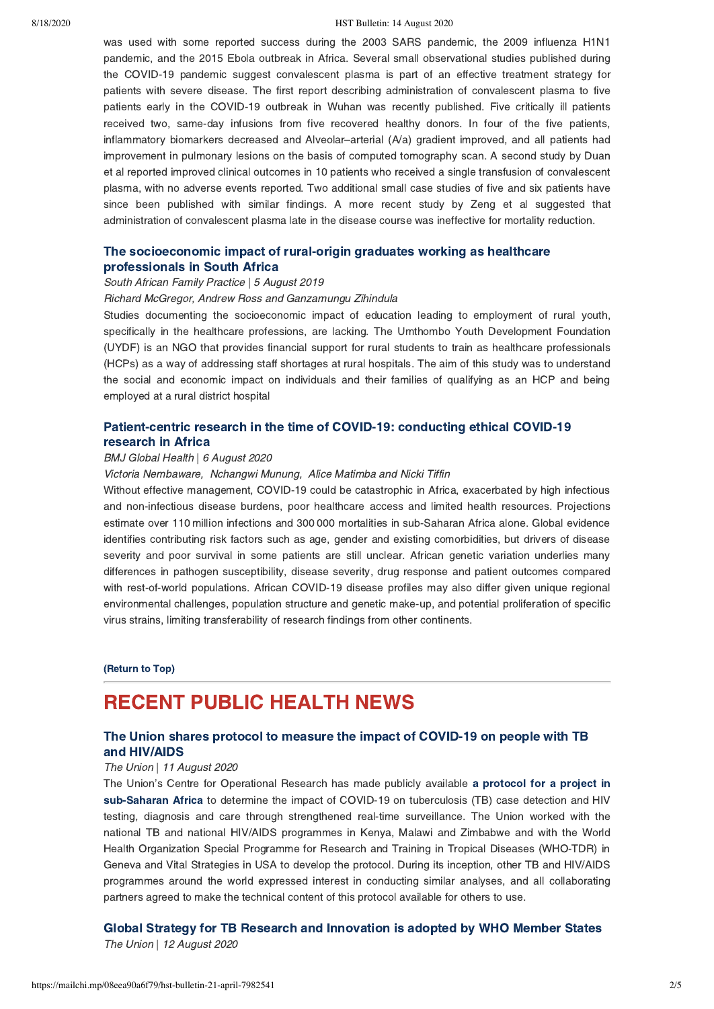#### 8/18/2020 HST Bulletin: 14 August 2020

was used with some reported success during the 2003 SARS pandemic, the 2009 influenza H1N1 pandemic, and the 2015 Ebola outbreak in Africa. Several small observational studies published during the COVID-19 pandemic suggest convalescent plasma is part of an effective treatment strategy for patients with severe disease. The first report describing administration of convalescent plasma to five patients early in the COVID-19 outbreak in Wuhan was recently published. Five critically ill patients received two, same-day infusions from five recovered healthy donors. In four of the five patients, inflammatory biomarkers decreased and Alveolar–arterial (A/a) gradient improved, and all patients had improvement in pulmonary lesions on the basis of computed tomography scan. A second study by Duan et al reported improved clinical outcomes in 10 patients who received a single transfusion of convalescent plasma, with no adverse events reported. Two additional small case studies of five and six patients have since been published with similar findings. A more recent study by Zeng et al suggested that administration of convalescent plasma late in the disease course was ineffective for mortality reduction.

# [The socioeconomic impact of rural-origin graduates working as healthcare](https://www.tandfonline.com/doi/full/10.1080/20786190.2019.1647006)

## professionals in South Africa South African Family Practice | 5 August 2019

#### Richard McGregor, Andrew Ross and Ganzamungu Zihindula

Studies documenting the socioeconomic impact of education leading to employment of rural youth, specifically in the healthcare professions, are lacking. The Umthombo Youth Development Foundation (UYDF) is an NGO that provides financial support for rural students to train as healthcare professionals (HCPs) as a way of addressing staff shortages at rural hospitals. The aim of this study was to understand the social and economic impact on individuals and their families of qualifying as an HCP and being employed at a rural district hospital

## [Patient-centric research in the time of COVID-19: conducting ethical COVID-19](https://gh.bmj.com/content/5/8/e003035)

## research in Africa BMJ Global Health | 6 August 2020

### Victoria Nembaware, Nchangwi Munung, Alice Matimba and Nicki Tiffin

Without effective management, COVID-19 could be catastrophic in Africa, exacerbated by high infectious and non-infectious disease burdens, poor healthcare access and limited health resources. Projections estimate over 110 million infections and 300 000 mortalities in sub-Saharan Africa alone. Global evidence identifies contributing risk factors such as age, gender and existing comorbidities, but drivers of disease severity and poor survival in some patients are still unclear. African genetic variation underlies many differences in pathogen susceptibility, disease severity, drug response and patient outcomes compared with rest-of-world populations. African COVID-19 disease profiles may also differ given unique regional environmental challenges, population structure and genetic make-up, and potential proliferation of specific virus strains, limiting transferability of research findings from other continents.

(Return to Top)

## <span id="page-1-0"></span>**RECENT PUBLIC HEALTH NEWS**

### The Union shares protocol to measure the impact of COVID-19 on people with TB and HIV/AIDS

## The Union | 11 August 2020

[The Union's Centre for Operational Research has made publicly available a protocol for a project in](https://www.theunion.org/news-centre/covid-19/body/PROTOCOL-The-impact-of-COVID19-on-TB-and-HIV-services-a-public-health-surveillance-project-in-three-African-countries.docx) sub-Saharan Africa to determine the impact of COVID-19 on tuberculosis (TB) case detection and HIV sub-Saharan Africa to determine the impact of COVID-19 on tuberculosis (TB) case detection and HIV testing, diagnosis and care through strengthened real-time surveillance. The Union worked with the national TB and national HIV/AIDS programmes in Kenya, Malawi and Zimbabwe and with the World Health Organization Special Programme for Research and Training in Tropical Diseases (WHO-TDR) in Geneva and Vital Strategies in USA to develop the protocol. During its inception, other TB and HIV/AIDS programmes around the world expressed interest in conducting similar analyses, and all collaborating partners agreed to make the technical content of this protocol available for others to use.

The Union | 12 August 2020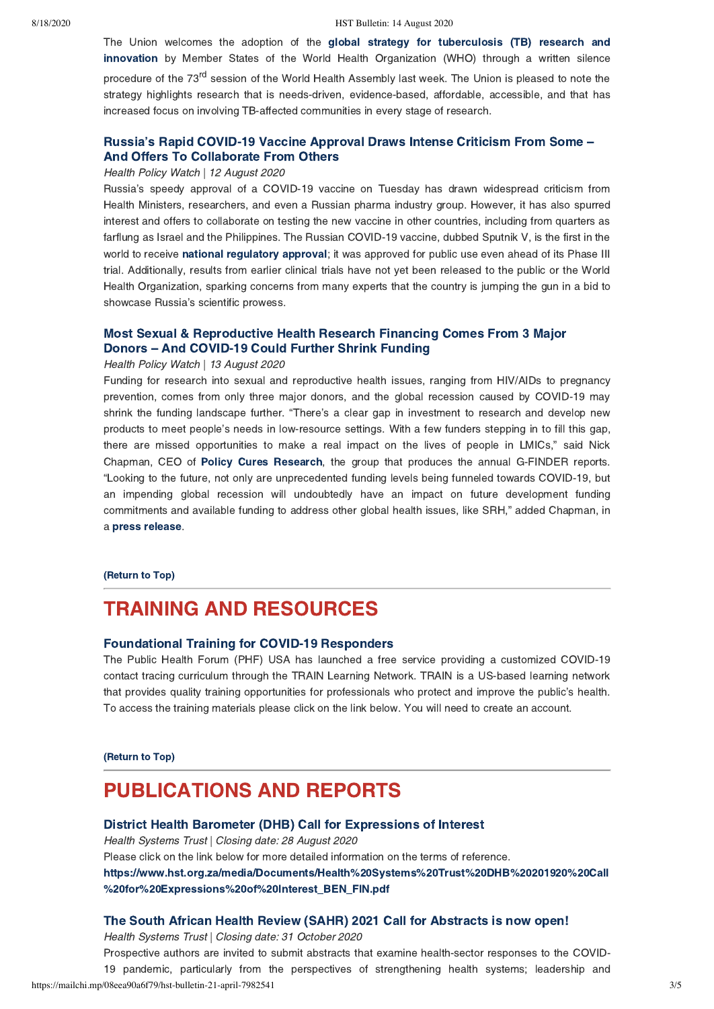The Union welcomes the adoption of the global strategy for tuberculosis (TB) research and innovation [by Member States of the World Health Organization \(WHO\) through a written silence](https://who.us8.list-manage.com/track/click?u=f093a7c38a3780cd9504f8d9d&id=090b86fe58&e=9e1f4b5f6c) procedure of the 73<sup>rd</sup> session of the World Health Assembly last week. The Union is pleased to note the strategy highlights research that is needs-driven, evidence-based, affordable, accessible, and that has increased focus on involving TB-affected communities in every stage of research.

## [Russia's Rapid COVID-19 Vaccine Approval Draws Intense Criticism From Some –](https://healthpolicy-watch.news/76288-2/)

## And Offers To Collaborate From Others Health Policy Watch | 12 August 2020

Russia's speedy approval of a COVID-19 vaccine on Tuesday has drawn widespread criticism from Health Ministers, researchers, and even a Russian pharma industry group. However, it has also spurred interest and offers to collaborate on testing the new vaccine in other countries, including from quarters as farflung as Israel and the Philippines. The Russian COVID-19 vaccine, dubbed Sputnik V, is the first in the worldto receive **national regulatory approval**; it was approved for public use even ahead of its Phase III<br>trial. Additionally, results from earlier clinical trials have not yet been released to the public or the World Health Organization, sparking concerns from many experts that the country is jumping the gun in a bid to showcase Russia's scientific prowess.

# Most Sexual And COVID-19 Could Further Shrink Funding<br>Donors – And COVID-19 Could Further Shrink Funding<br>Health Policy Watch | 13 August 2020

#### Health Policy Watch | 13 August 2020

Funding for research into sexual and reproductive health issues, ranging from HIV/AIDs to pregnancy prevention, comes from only three major donors, and the global recession caused by COVID-19 may shrink the funding landscape further. "There's a clear gap in investment to research and develop new products to meet people's needs in low-resource settings. With a few funders stepping in to fill this gap, there are missed opportunities to make a real impact on the lives of people in LMICs," said Nick Chapman, CEO of **Policy Cures Research**, the group that produces the annual G-FINDER reports.<br>"Looking to the future, not only are unprecedented funding levels being funneled towards COVID-19, but "Looking to the future, not only are unprecedented funding levels being funneled towards COVID-19, but an impending global recession will undoubtedly have an impact on future development funding commitments and available funding to address other global health issues, like SRH," added Chapman, in apress release[.](https://www.policycuresresearch.org/press-release-gfinder-srh-2020)

## (Return to Top)

## <span id="page-2-0"></span>**TRAINING AND RESOURCES**

### Foundational Training for COVID-19 Responders

Foundational Training for COVID-19 Responders The Public Health Forum (PHF) USA has launched a free service providing a customized COVID-19 contact tracing curriculum through the TRAIN Learning Network. TRAIN is a US-based learning network that provides quality training opportunities for professionals who protect and improve the public's health. To access the training materials please click on the link below. You will need to create an account.

## $\frac{R}{\sqrt{R}}$

## **PUBLICATIONS AND REPORTS**

### District Health Barometer (DHB) Call for Expressions of Interest

Health Systems Trust | Closing date: 28 August 2020

Please click on the link below for more detailed information on the terms of reference.

[https://www.hst.org.za/media/Documents/Health%20Systems%20Trust%20DHB%20201920%20Call](https://www.hst.org.za/media/Documents/Health%20Systems%20Trust%20DHB%20201920%20Call%20for%20Expressions%20of%20Interest_BEN_FIN.pdf)  $\mathbb{R}^2$  .  $\mathbb{R}^2$  is a contract by a contract benefits  $\mathbb{R}^2$  .  $\mathbb{R}^2$  is a contract by a contract by a contract of  $\mathbb{R}^2$ 

Health Systems Trust | Closing date: 31 October 2020

Prospective authors are invited to submit abstracts that examine health-sector responses to the COVID-19 pandemic, particularly from the perspectives of strengthening health systems; leadership and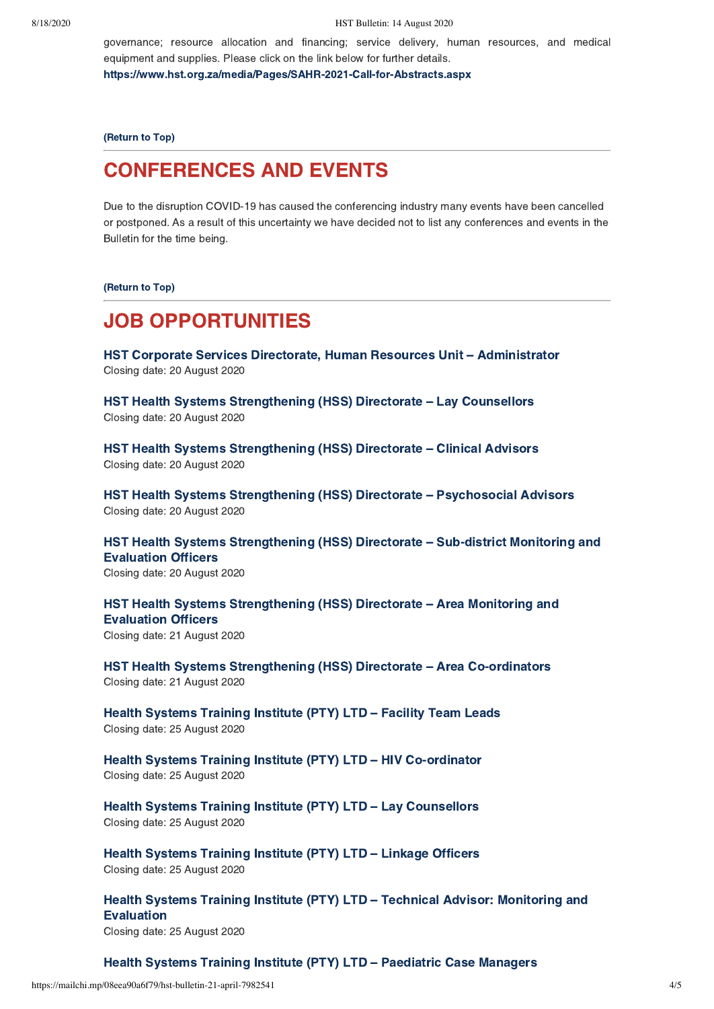governance; resource allocation and financing; service delivery, human resources, and medical equipment and supplies. Please click on the link below for further details.

https://www.hst.org.za/media/Pages/SAHR-2021-Call-for-Abstracts.aspx

(Return to Top)

## <span id="page-3-0"></span>**CONFERENCES AND EVENTS**

Definition COVID-19 has caused the conferencing industry many events have been cancelled<br>Due to the disruption COVID-19 has caused the conferencing industry many events have been cancelled or postponed. As a result of this uncertainty we have decided not to list any conferences and events in the Bulletin for the time being.

(Return to Top)

## **JOB OPPORTUNITIES**

JOB OPPORTUNITIES<br>JOB Opportunities Directorate HST Corporate Services Directorate, Human Resources Unit [–](https://www.hst.org.za/Pages/Human-Resources-(HR)-Administrator.aspx) Administrator<br>Closing date: 20 August 2020 Closing date: 20 August 2020

HST Health Systems Strengthening (HSS) Directorate [–](https://www.hst.org.za/Pages/LAY-COUNSELLORS.aspx) Lay Counsellors Closing date: 20 August 2020

HST Health Systems Strengthening (HSS) Directorate [–](https://www.hst.org.za/Pages/Clinical-Advisors.aspx) Clinical Advisors Closing date: 20 August 2020

HST Health Systems Strengthening (HSS) Directorate [–](https://www.hst.org.za/Pages/Psychosocial-Advisors.aspx) Psychosocial Advisors Closing date: 20 August 2020

[HST Health Systems Strengthening \(HSS\) Directorate – Sub-district Monitoring and](https://www.hst.org.za/Pages/Sub-district-Monitoring-and-Evaluation-Officer(2).aspx) Evaluation Officers

Evaluation Officers Closing date: 20 August 2020

[HST Health Systems Strengthening \(HSS\) Directorate – Area Monitoring and](https://www.hst.org.za/Pages/AREA-MONITORING-AND-EVALUATION-OFFICERS.aspx) Evaluation Officers

Evaluation Officers Closing date: 21 August 2020

HST Health Systems Strengthening (HSS) Directorate [–](https://www.hst.org.za/Pages/Area-Co-ordinators.aspx) Area Co-ordinators Closing date: 21 August 2020

Health Systems Training Institute (PTY) LTD [–](https://www.hst.org.za/Pages/Facility-Team-Leads-(8).aspx) Facility Team Leads Closing date: 25 August 2020

Health Systems Training Institute (PTY) LTD [–](https://www.hst.org.za/Pages/HIV-Co-ordinator.aspx) HIV Co-ordinator Closing date: 25 August 2020

Health Systems Training Institute (PTY) LTD [–](https://www.hst.org.za/Pages/Lay-Counsellors-(100).aspx) Lay Counsellors Closing date: 25 August 2020

Health Systems Training Institute (PTY) LTD [–](https://www.hst.org.za/Pages/Linkage-Officers-(101).aspx) Linkage Officers Closing date: 25 August 2020

[Health Systems Training Institute \(PTY\) LTD – Technical Advisor: Monitoring and](https://www.hst.org.za/Pages/Technical-Advisor-Monitoring-and-Evaluation-(1).aspx) Evaluation Closing date: 25 August 2020

### Health Systems Training Institute (PTY) LTD [–](https://www.hst.org.za/Pages/Paediatric-Case-Managers-(40).aspx) Paediatric Case Managers